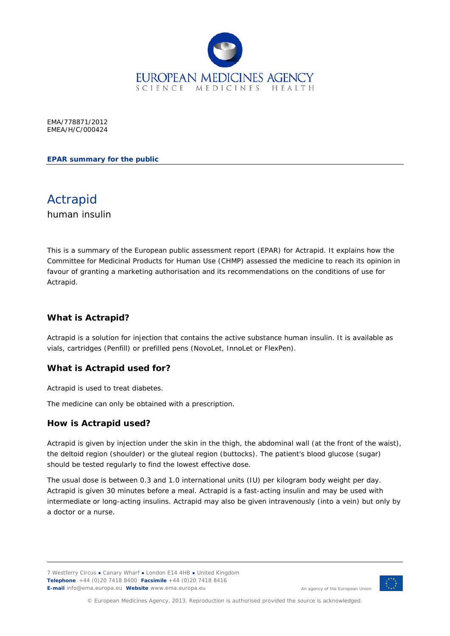

EMA/778871/2012 EMEA/H/C/000424

**EPAR summary for the public**

Actrapid human insulin

This is a summary of the European public assessment report (EPAR) for Actrapid. It explains how the Committee for Medicinal Products for Human Use (CHMP) assessed the medicine to reach its opinion in favour of granting a marketing authorisation and its recommendations on the conditions of use for Actrapid.

## **What is Actrapid?**

Actrapid is a solution for injection that contains the active substance human insulin. It is available as vials, cartridges (Penfill) or prefilled pens (NovoLet, InnoLet or FlexPen).

#### **What is Actrapid used for?**

Actrapid is used to treat diabetes.

The medicine can only be obtained with a prescription.

#### **How is Actrapid used?**

Actrapid is given by injection under the skin in the thigh, the abdominal wall (at the front of the waist), the deltoid region (shoulder) or the gluteal region (buttocks). The patient's blood glucose (sugar) should be tested regularly to find the lowest effective dose.

The usual dose is between 0.3 and 1.0 international units (IU) per kilogram body weight per day. Actrapid is given 30 minutes before a meal. Actrapid is a fast-acting insulin and may be used with intermediate or long-acting insulins. Actrapid may also be given intravenously (into a vein) but only by a doctor or a nurse.

7 Westferry Circus **●** Canary Wharf **●** London E14 4HB **●** United Kingdom **Telephone** +44 (0)20 7418 8400 **Facsimile** +44 (0)20 7418 8416 **E-mail** info@ema.europa.eu **Website** www.ema.europa.eu



An agency of the European Union

© European Medicines Agency, 2013. Reproduction is authorised provided the source is acknowledged.